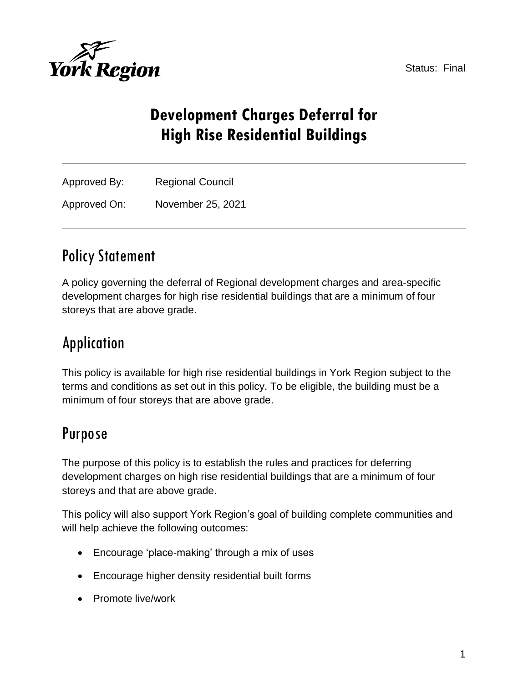Status: Final



# **Development Charges Deferral for High Rise Residential Buildings**

| Approved By: | <b>Regional Council</b> |  |
|--------------|-------------------------|--|
| Approved On: | November 25, 2021       |  |

## Policy Statement

A policy governing the deferral of Regional development charges and area-specific development charges for high rise residential buildings that are a minimum of four storeys that are above grade.

# Application

This policy is available for high rise residential buildings in York Region subject to the terms and conditions as set out in this policy. To be eligible, the building must be a minimum of four storeys that are above grade.

## Purpose

The purpose of this policy is to establish the rules and practices for deferring development charges on high rise residential buildings that are a minimum of four storeys and that are above grade.

This policy will also support York Region's goal of building complete communities and will help achieve the following outcomes:

- Encourage 'place-making' through a mix of uses
- Encourage higher density residential built forms
- Promote live/work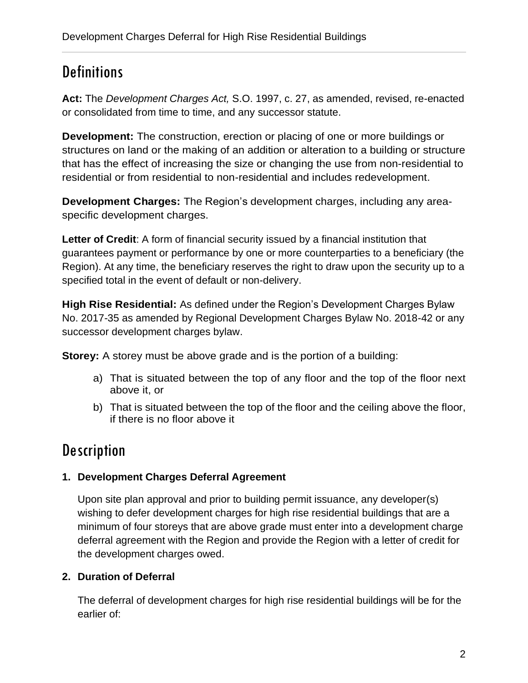## **Definitions**

**Act:** The *Development Charges Act,* S.O. 1997, c. 27, as amended, revised, re-enacted or consolidated from time to time, and any successor statute.

**Development:** The construction, erection or placing of one or more buildings or structures on land or the making of an addition or alteration to a building or structure that has the effect of increasing the size or changing the use from non-residential to residential or from residential to non-residential and includes redevelopment.

**Development Charges:** The Region's development charges, including any areaspecific development charges.

Letter of Credit: A form of financial security issued by a financial institution that guarantees payment or performance by one or more counterparties to a beneficiary (the Region). At any time, the beneficiary reserves the right to draw upon the security up to a specified total in the event of default or non-delivery.

**High Rise Residential:** As defined under the Region's Development Charges Bylaw No. 2017-35 as amended by Regional Development Charges Bylaw No. 2018-42 or any successor development charges bylaw.

**Storey:** A storey must be above grade and is the portion of a building:

- a) That is situated between the top of any floor and the top of the floor next above it, or
- b) That is situated between the top of the floor and the ceiling above the floor, if there is no floor above it

# **Description**

## **1. Development Charges Deferral Agreement**

Upon site plan approval and prior to building permit issuance, any developer(s) wishing to defer development charges for high rise residential buildings that are a minimum of four storeys that are above grade must enter into a development charge deferral agreement with the Region and provide the Region with a letter of credit for the development charges owed.

## **2. Duration of Deferral**

The deferral of development charges for high rise residential buildings will be for the earlier of: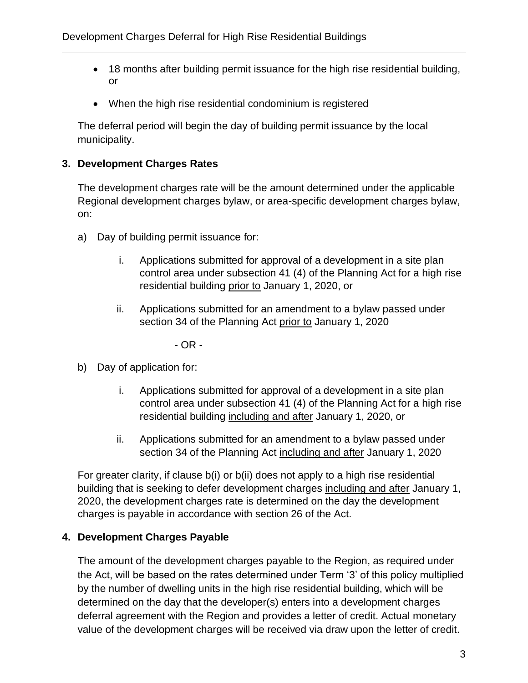- 18 months after building permit issuance for the high rise residential building, or
- When the high rise residential condominium is registered

The deferral period will begin the day of building permit issuance by the local municipality.

### **3. Development Charges Rates**

The development charges rate will be the amount determined under the applicable Regional development charges bylaw, or area-specific development charges bylaw, on:

- a) Day of building permit issuance for:
	- i. Applications submitted for approval of a development in a site plan control area under subsection 41 (4) of the Planning Act for a high rise residential building prior to January 1, 2020, or
	- ii. Applications submitted for an amendment to a bylaw passed under section 34 of the Planning Act prior to January 1, 2020

- OR -

- b) Day of application for:
	- i. Applications submitted for approval of a development in a site plan control area under subsection 41 (4) of the Planning Act for a high rise residential building including and after January 1, 2020, or
	- ii. Applications submitted for an amendment to a bylaw passed under section 34 of the Planning Act including and after January 1, 2020

For greater clarity, if clause b(i) or b(ii) does not apply to a high rise residential building that is seeking to defer development charges including and after January 1, 2020, the development charges rate is determined on the day the development charges is payable in accordance with section 26 of the Act.

#### **4. Development Charges Payable**

The amount of the development charges payable to the Region, as required under the Act, will be based on the rates determined under Term '3' of this policy multiplied by the number of dwelling units in the high rise residential building, which will be determined on the day that the developer(s) enters into a development charges deferral agreement with the Region and provides a letter of credit. Actual monetary value of the development charges will be received via draw upon the letter of credit.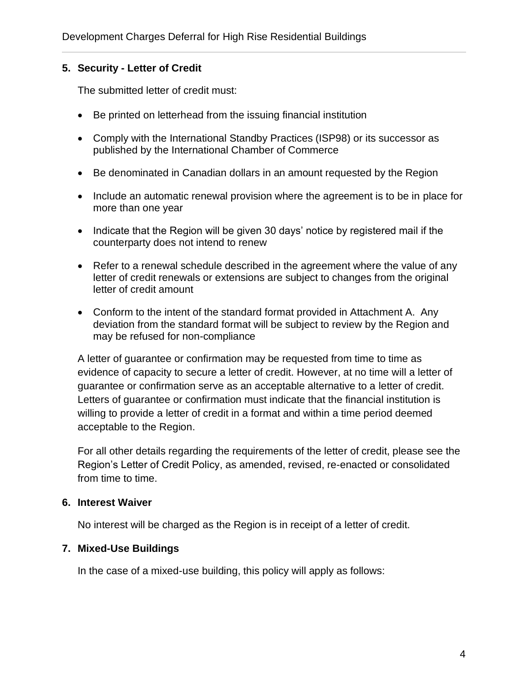### **5. Security - Letter of Credit**

The submitted letter of credit must:

- Be printed on letterhead from the issuing financial institution
- Comply with the International Standby Practices (ISP98) or its successor as published by the International Chamber of Commerce
- Be denominated in Canadian dollars in an amount requested by the Region
- Include an automatic renewal provision where the agreement is to be in place for more than one year
- Indicate that the Region will be given 30 days' notice by registered mail if the counterparty does not intend to renew
- Refer to a renewal schedule described in the agreement where the value of any letter of credit renewals or extensions are subject to changes from the original letter of credit amount
- Conform to the intent of the standard format provided in Attachment A. Any deviation from the standard format will be subject to review by the Region and may be refused for non-compliance

A letter of guarantee or confirmation may be requested from time to time as evidence of capacity to secure a letter of credit. However, at no time will a letter of guarantee or confirmation serve as an acceptable alternative to a letter of credit. Letters of guarantee or confirmation must indicate that the financial institution is willing to provide a letter of credit in a format and within a time period deemed acceptable to the Region.

For all other details regarding the requirements of the letter of credit, please see the Region's Letter of Credit Policy, as amended, revised, re-enacted or consolidated from time to time.

#### **6. Interest Waiver**

No interest will be charged as the Region is in receipt of a letter of credit.

#### **7. Mixed-Use Buildings**

In the case of a mixed-use building, this policy will apply as follows: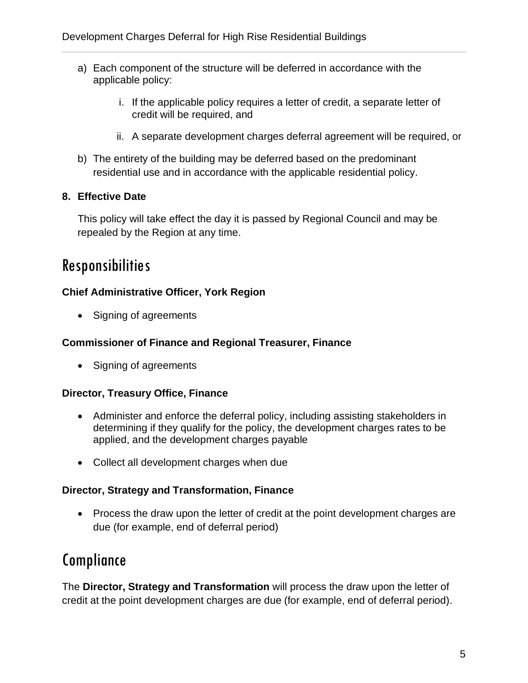- a) Each component of the structure will be deferred in accordance with the applicable policy:
	- i. If the applicable policy requires a letter of credit, a separate letter of credit will be required, and
	- ii. A separate development charges deferral agreement will be required, or
- b) The entirety of the building may be deferred based on the predominant residential use and in accordance with the applicable residential policy.

## **8. Effective Date**

This policy will take effect the day it is passed by Regional Council and may be repealed by the Region at any time.

## Responsibilities

### **Chief Administrative Officer, York Region**

• Signing of agreements

### **Commissioner of Finance and Regional Treasurer, Finance**

• Signing of agreements

### **Director, Treasury Office, Finance**

- Administer and enforce the deferral policy, including assisting stakeholders in determining if they qualify for the policy, the development charges rates to be applied, and the development charges payable
- Collect all development charges when due

#### **Director, Strategy and Transformation, Finance**

• Process the draw upon the letter of credit at the point development charges are due (for example, end of deferral period)

## Compliance

The **Director, Strategy and Transformation** will process the draw upon the letter of credit at the point development charges are due (for example, end of deferral period).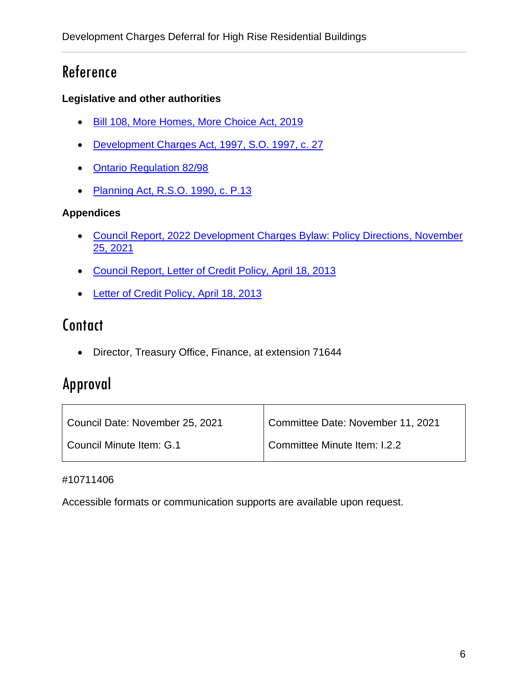## Reference

### **Legislative and other authorities**

- [Bill 108, More Homes, More Choice Act, 2019](https://www.ola.org/en/legislative-business/bills/parliament-42/session-1/bill-108)
- [Development Charges Act, 1997,](https://www.ontario.ca/laws/statute/97d27) S.O. 1997, c. 27
- [Ontario Regulation 82/98](https://www.ontario.ca/laws/regulation/980082)
- [Planning Act, R.S.O. 1990, c. P.13](https://www.ontario.ca/laws/statute/90p13)

### **Appendices**

- [Council Report, 2022 Development Charges Bylaw: Policy Directions, November](https://yorkpublishing.escribemeetings.com/Meeting.aspx?Id=228608f4-d57d-485a-a462-b12bec2e4b08&Agenda=PostMinutes&lang=English&Item=39&Tab=attachments)  [25, 2021](https://yorkpublishing.escribemeetings.com/Meeting.aspx?Id=228608f4-d57d-485a-a462-b12bec2e4b08&Agenda=PostMinutes&lang=English&Item=39&Tab=attachments)
- [Council Report, Letter of Credit Policy, April 18, 2013](http://archives.york.ca/councilcommitteearchives/pdf/rpt%204%20cls%201-3.pdf)
- [Letter of Credit Policy, April 18, 2013](https://www.york.ca/wps/wcm/connect/yorkpublic/5c62477a-2718-4c82-8dac-bfd42592f640/Letter+of+Credit+-+Finance+and+Administration.pdf?MOD=AJPERES)

## **Contact**

• Director, Treasury Office, Finance, at extension 71644

## Approval

| Council Date: November 25, 2021 | Committee Date: November 11, 2021 |
|---------------------------------|-----------------------------------|
| Council Minute Item: G.1        | Committee Minute Item: I.2.2      |

#### #10711406

Accessible formats or communication supports are available upon request.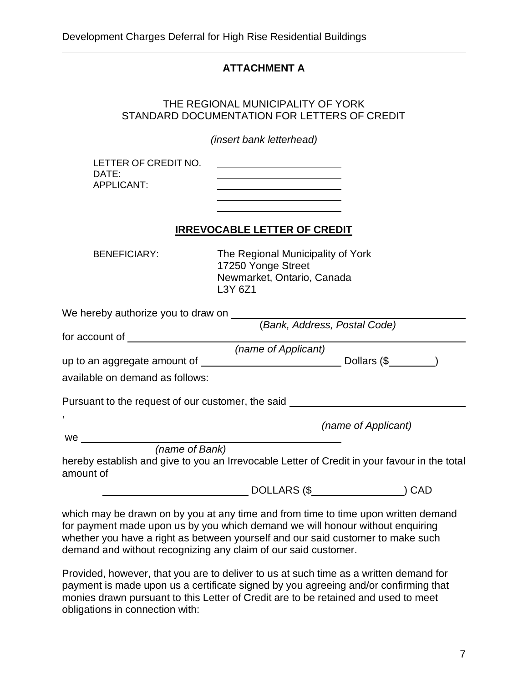### **ATTACHMENT A**

#### THE REGIONAL MUNICIPALITY OF YORK STANDARD DOCUMENTATION FOR LETTERS OF CREDIT

*(insert bank letterhead)*

LETTER OF CREDIT NO. DATE: APPLICANT:

### **IRREVOCABLE LETTER OF CREDIT**

BENEFICIARY: The Regional Municipality of York 17250 Yonge Street Newmarket, Ontario, Canada L3Y 6Z1

| We hereby authorize you to draw on                                                                                                                                                                                                               |                              |                     |  |
|--------------------------------------------------------------------------------------------------------------------------------------------------------------------------------------------------------------------------------------------------|------------------------------|---------------------|--|
|                                                                                                                                                                                                                                                  | (Bank, Address, Postal Code) |                     |  |
| for account of the state of the state of the state of the state of the state of the state of the state of the state of the state of the state of the state of the state of the state of the state of the state of the state of                   |                              |                     |  |
| (name of Applicant)                                                                                                                                                                                                                              |                              |                     |  |
| up to an aggregate amount of $\qquad \qquad$ Dollars $(\$$                                                                                                                                                                                       |                              |                     |  |
| available on demand as follows:                                                                                                                                                                                                                  |                              |                     |  |
| Pursuant to the request of our customer, the said                                                                                                                                                                                                |                              |                     |  |
| $\,$                                                                                                                                                                                                                                             |                              | (name of Applicant) |  |
| we are the contract of the contract of the contract of the contract of the contract of the contract of the contract of the contract of the contract of the contract of the contract of the contract of the contract of the con<br>(name of Bank) |                              |                     |  |
| hereby establish and give to you an Irrevocable Letter of Credit in your favour in the total<br>amount of                                                                                                                                        |                              |                     |  |
|                                                                                                                                                                                                                                                  | DOLLARS (\$                  | CAD                 |  |

which may be drawn on by you at any time and from time to time upon written demand for payment made upon us by you which demand we will honour without enquiring whether you have a right as between yourself and our said customer to make such demand and without recognizing any claim of our said customer.

Provided, however, that you are to deliver to us at such time as a written demand for payment is made upon us a certificate signed by you agreeing and/or confirming that monies drawn pursuant to this Letter of Credit are to be retained and used to meet obligations in connection with: